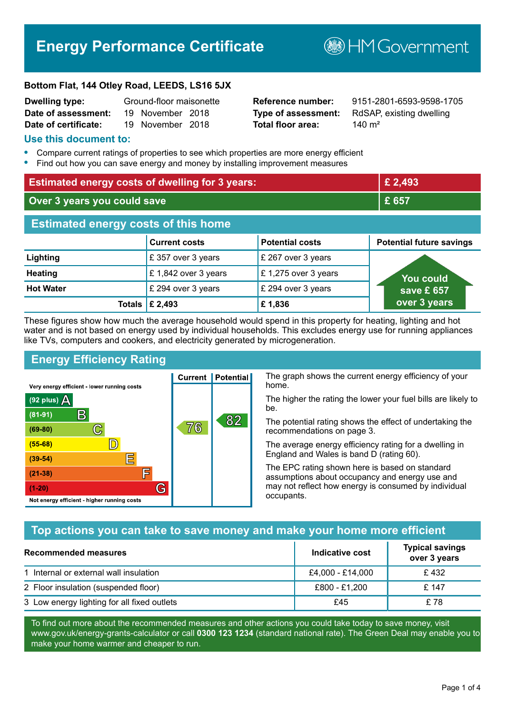# **Energy Performance Certificate**

**B**HM Government

#### **Bottom Flat, 144 Otley Road, LEEDS, LS16 5JX**

| <b>Dwelling type:</b> | Ground-floor maisonette |                  |  |
|-----------------------|-------------------------|------------------|--|
| Date of assessment:   |                         | 19 November 2018 |  |
| Date of certificate:  |                         | 19 November 2018 |  |

# **Total floor area:** 140 m<sup>2</sup>

**Reference number:** 9151-2801-6593-9598-1705 **Type of assessment:** RdSAP, existing dwelling

#### **Use this document to:**

- **•** Compare current ratings of properties to see which properties are more energy efficient
- **•** Find out how you can save energy and money by installing improvement measures

| <b>Estimated energy costs of dwelling for 3 years:</b> |                      | £ 2,493                |                                 |
|--------------------------------------------------------|----------------------|------------------------|---------------------------------|
| Over 3 years you could save                            |                      | £ 657                  |                                 |
| <b>Estimated energy costs of this home</b>             |                      |                        |                                 |
|                                                        | <b>Current costs</b> | <b>Potential costs</b> | <b>Potential future savings</b> |
| Lighting                                               | £ 357 over 3 years   | £ 267 over 3 years     |                                 |
| <b>Heating</b>                                         | £1,842 over 3 years  | £1,275 over 3 years    | <b>You could</b>                |
| <b>Hot Water</b>                                       | £ 294 over 3 years   | £ 294 over 3 years     | save £ 657                      |
| Totals                                                 | £ 2,493              | £1,836                 | over 3 years                    |

These figures show how much the average household would spend in this property for heating, lighting and hot water and is not based on energy used by individual households. This excludes energy use for running appliances like TVs, computers and cookers, and electricity generated by microgeneration.

**Current | Potential** 

76

# **Energy Efficiency Rating**

C

 $\mathbb{D}$ 

E

肩

G

Very energy efficient - lower running costs

R

Not energy efficient - higher running costs

(92 plus)  $\Delta$ 

 $(81 - 91)$ 

 $(69 - 80)$ 

 $(55-68)$ 

 $(39 - 54)$ 

 $(21-38)$ 

 $(1-20)$ 

The graph shows the current energy efficiency of your home.

The higher the rating the lower your fuel bills are likely to be.

The potential rating shows the effect of undertaking the recommendations on page 3.

The average energy efficiency rating for a dwelling in England and Wales is band D (rating 60).

The EPC rating shown here is based on standard assumptions about occupancy and energy use and may not reflect how energy is consumed by individual occupants.

# **Top actions you can take to save money and make your home more efficient**

82

| Recommended measures                        | Indicative cost  | <b>Typical savings</b><br>over 3 years |
|---------------------------------------------|------------------|----------------------------------------|
| 1 Internal or external wall insulation      | £4,000 - £14,000 | £432                                   |
| 2 Floor insulation (suspended floor)        | £800 - £1,200    | £ 147                                  |
| 3 Low energy lighting for all fixed outlets | £45              | £78                                    |

To find out more about the recommended measures and other actions you could take today to save money, visit www.gov.uk/energy-grants-calculator or call **0300 123 1234** (standard national rate). The Green Deal may enable you to make your home warmer and cheaper to run.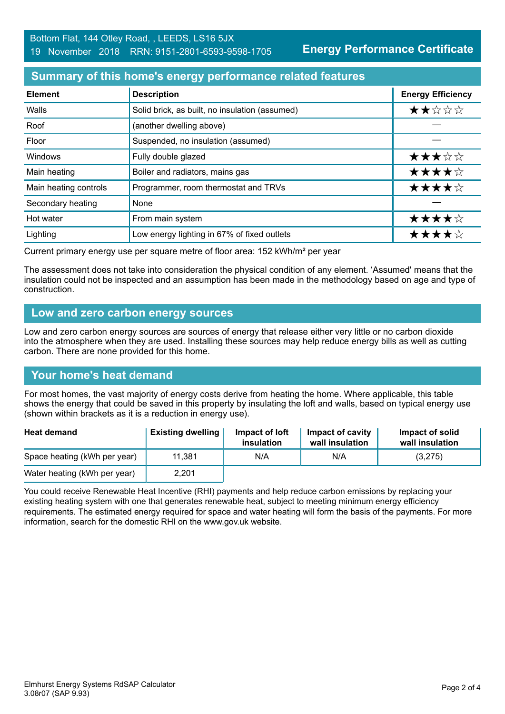**Energy Performance Certificate**

# **Summary of this home's energy performance related features**

| <b>Element</b>        | <b>Description</b>                             | <b>Energy Efficiency</b> |
|-----------------------|------------------------------------------------|--------------------------|
| Walls                 | Solid brick, as built, no insulation (assumed) | ★★☆☆☆                    |
| Roof                  | (another dwelling above)                       |                          |
| Floor                 | Suspended, no insulation (assumed)             |                          |
| Windows               | Fully double glazed                            | ★★★☆☆                    |
| Main heating          | Boiler and radiators, mains gas                | ★★★★☆                    |
| Main heating controls | Programmer, room thermostat and TRVs           | ★★★★☆                    |
| Secondary heating     | None                                           |                          |
| Hot water             | From main system                               | ★★★★☆                    |
| Lighting              | Low energy lighting in 67% of fixed outlets    | ★★★★☆                    |

Current primary energy use per square metre of floor area: 152 kWh/m² per year

The assessment does not take into consideration the physical condition of any element. 'Assumed' means that the insulation could not be inspected and an assumption has been made in the methodology based on age and type of construction.

#### **Low and zero carbon energy sources**

Low and zero carbon energy sources are sources of energy that release either very little or no carbon dioxide into the atmosphere when they are used. Installing these sources may help reduce energy bills as well as cutting carbon. There are none provided for this home.

# **Your home's heat demand**

For most homes, the vast majority of energy costs derive from heating the home. Where applicable, this table shows the energy that could be saved in this property by insulating the loft and walls, based on typical energy use (shown within brackets as it is a reduction in energy use).

| <b>Heat demand</b>           | <b>Existing dwelling</b> | Impact of loft<br>insulation | Impact of cavity<br>wall insulation | Impact of solid<br>wall insulation |
|------------------------------|--------------------------|------------------------------|-------------------------------------|------------------------------------|
| Space heating (kWh per year) | 11,381                   | N/A                          | N/A                                 | (3,275)                            |
| Water heating (kWh per year) | 2,201                    |                              |                                     |                                    |

You could receive Renewable Heat Incentive (RHI) payments and help reduce carbon emissions by replacing your existing heating system with one that generates renewable heat, subject to meeting minimum energy efficiency requirements. The estimated energy required for space and water heating will form the basis of the payments. For more information, search for the domestic RHI on the www.gov.uk website.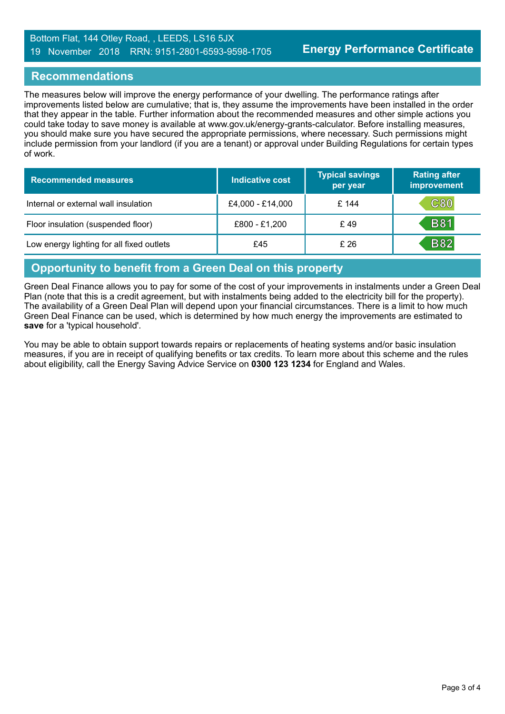#### Bottom Flat, 144 Otley Road, , LEEDS, LS16 5JX 19 November 2018 RRN: 9151-2801-6593-9598-1705

#### **Recommendations**

The measures below will improve the energy performance of your dwelling. The performance ratings after improvements listed below are cumulative; that is, they assume the improvements have been installed in the order that they appear in the table. Further information about the recommended measures and other simple actions you could take today to save money is available at www.gov.uk/energy-grants-calculator. Before installing measures, you should make sure you have secured the appropriate permissions, where necessary. Such permissions might include permission from your landlord (if you are a tenant) or approval under Building Regulations for certain types of work.

| <b>Recommended measures</b>               | Indicative cost  | <b>Typical savings</b><br>per year | <b>Rating after</b><br>improvement |
|-------------------------------------------|------------------|------------------------------------|------------------------------------|
| Internal or external wall insulation      | £4,000 - £14,000 | £ 144                              | $\mathtt{C80}$                     |
| Floor insulation (suspended floor)        | £800 - £1,200    | £49                                | <b>B81</b>                         |
| Low energy lighting for all fixed outlets | £45              | £26                                | <b>B82</b>                         |

#### **Opportunity to benefit from a Green Deal on this property**

Green Deal Finance allows you to pay for some of the cost of your improvements in instalments under a Green Deal Plan (note that this is a credit agreement, but with instalments being added to the electricity bill for the property). The availability of a Green Deal Plan will depend upon your financial circumstances. There is a limit to how much Green Deal Finance can be used, which is determined by how much energy the improvements are estimated to **save** for a 'typical household'.

You may be able to obtain support towards repairs or replacements of heating systems and/or basic insulation measures, if you are in receipt of qualifying benefits or tax credits. To learn more about this scheme and the rules about eligibility, call the Energy Saving Advice Service on **0300 123 1234** for England and Wales.